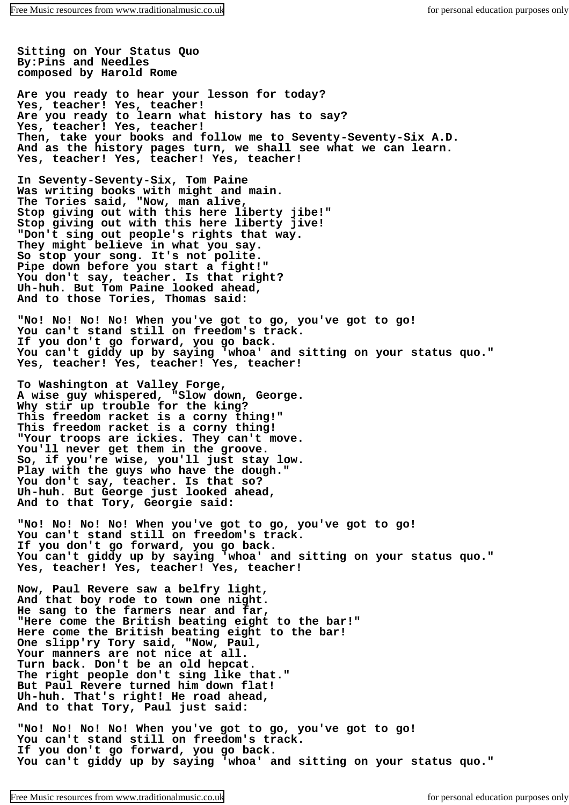**Sitting on Your Status Quo By:Pins and Needles composed by Harold Rome**

**Are you ready to hear your lesson for today? Yes, teacher! Yes, teacher! Are you ready to learn what history has to say? Yes, teacher! Yes, teacher! Then, take your books and follow me to Seventy-Seventy-Six A.D. And as the history pages turn, we shall see what we can learn. Yes, teacher! Yes, teacher! Yes, teacher!**

**In Seventy-Seventy-Six, Tom Paine Was writing books with might and main. The Tories said, "Now, man alive, Stop giving out with this here liberty jibe!" Stop giving out with this here liberty jive! "Don't sing out people's rights that way. They might believe in what you say. So stop your song. It's not polite. Pipe down before you start a fight!" You don't say, teacher. Is that right? Uh-huh. But Tom Paine looked ahead, And to those Tories, Thomas said:**

**"No! No! No! No! When you've got to go, you've got to go! You can't stand still on freedom's track. If you don't go forward, you go back. You can't giddy up by saying 'whoa' and sitting on your status quo." Yes, teacher! Yes, teacher! Yes, teacher!**

**To Washington at Valley Forge, A wise guy whispered, "Slow down, George. Why stir up trouble for the king? This freedom racket is a corny thing!" This freedom racket is a corny thing! "Your troops are ickies. They can't move. You'll never get them in the groove. So, if you're wise, you'll just stay low. Play with the guys who have the dough." You don't say, teacher. Is that so? Uh-huh. But George just looked ahead, And to that Tory, Georgie said:**

**"No! No! No! No! When you've got to go, you've got to go! You can't stand still on freedom's track. If you don't go forward, you go back. You can't giddy up by saying 'whoa' and sitting on your status quo." Yes, teacher! Yes, teacher! Yes, teacher!**

**Now, Paul Revere saw a belfry light, And that boy rode to town one night. He sang to the farmers near and far, "Here come the British beating eight to the bar!" Here come the British beating eight to the bar! One slipp'ry Tory said, "Now, Paul, Your manners are not nice at all. Turn back. Don't be an old hepcat. The right people don't sing like that." But Paul Revere turned him down flat! Uh-huh. That's right! He road ahead, And to that Tory, Paul just said:**

**"No! No! No! No! When you've got to go, you've got to go! You can't stand still on freedom's track. If you don't go forward, you go back. You can't giddy up by saying 'whoa' and sitting on your status quo."**